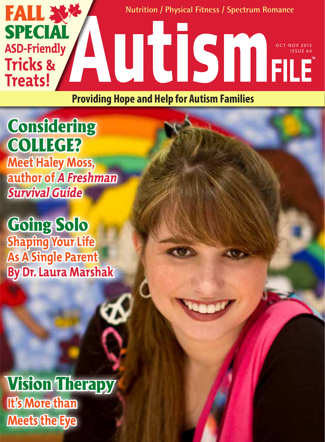

**Providing Hope and Help for Autism Families**

## **Considering** COLLEGE? **Meet Haley Moss,**

**author of A Freshman Survival Guide**

Going Solo **Shaping Your Life As A Single Parent By Dr. Laura Marshak**

Vision Therapy **It's More than Meets the Eye**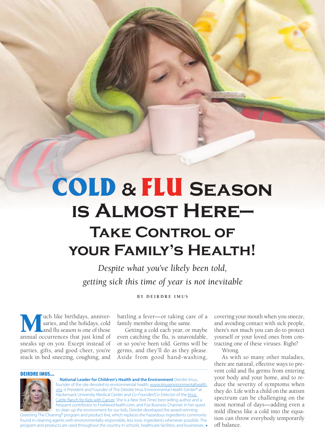# **Take Control of your Family's Health!** COLD **&** FLU **Season is Almost Here—**

*Despite what you've likely been told, getting sick this time of year is not inevitable*

**BY DEIRDRE IMUS**

**Much like birthdays, anniver-**<br>
saries, and the holidays, cold<br>
annual occurrences that just kind of saries, and the holidays, cold and flu season is one of those sneaks up on you. Except instead of parties, gifts, and good cheer, you're stuck in bed sneezing, coughing, and

battling a fever—or taking care of a family member doing the same.

Getting a cold each year, or maybe even catching the flu, is unavoidable, or so you've been told. Germs will be germs, and they'll do as they please. Aside from good hand-washing,

#### DEIRDRE IMUS...



…**National Leader for Children's Health and the Environment** Deirdre Imus, founder of the site devoted to environmental health, www.imusenvironmentalhealth. org, is President and Founder of The Deirdre Imus Environmental Health Center® at Hackensack University Medical Center and Co-Founder/Co-Director of the Imus Cattle Ranch for Kids with Cancer. She is a *New York Times* best-selling author and a frequent contributor to FoxNewsHealth.com, and Fox Business Channel. In her quest to clean up the environment for our kids, Deirdre developed the award-winning

Greening The Cleaning® program and product line, which replaces the hazardous ingredients commonly found in cleaning agents with environmentally-responsible, less toxic ingredients whenever possible. The program and products are used throughout the country in schools, healthcare facilities, and businesses. covering your mouth when you sneeze, and avoiding contact with sick people, there's not much you can do to protect yourself or your loved ones from contracting one of these viruses. Right?

Wrong.

As with so many other maladies, there are natural, effective ways to prevent cold and flu germs from entering your body and your home, and to reduce the severity of symptoms when they do. Life with a child on the autism spectrum can be challenging on the most normal of days—adding even a mild illness like a cold into the equation can throw everybody temporarily off balance.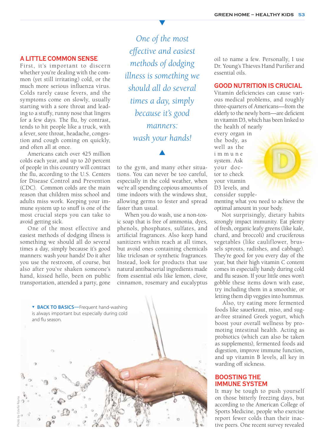#### **A LITTLE COMMON SENSE**

First, it's important to discern whether you're dealing with the common (yet still irritating) cold, or the much more serious influenza virus. Colds rarely cause fevers, and the symptoms come on slowly, usually starting with a sore throat and leading to a stuffy, runny nose that lingers for a few days. The flu, by contrast, tends to hit people like a truck, with a fever, sore throat, headache, congestion and cough coming on quickly, and often all at once.

Americans catch over 425 million colds each year, and up to 20 percent of people in this country will contract the flu, according to the U.S. Centers for Disease Control and Prevention (CDC). Common colds are the main reason that children miss school and adults miss work. Keeping your immune system up to snuff is one of the most crucial steps you can take to avoid getting sick.

One of the most effective and easiest methods of dodging illness is something we should all do several times a day, simply because it's good manners: wash your hands! Do it after you use the restroom, of course, but also after you've shaken someone's hand, kissed hello, been on public transportation, attended a party, gone

*One of the most effective and easiest methods of dodging illness is something we should all do several times a day, simply because it's good manners: wash your hands!* 

to the gym, and many other situations. You can never be too careful, especially in the cold weather, when we're all spending copious amounts of time indoors with the windows shut, allowing germs to fester and spread faster than usual.

 $\blacktriangle$ 

When you do wash, use a non-toxic soap that is free of ammonia, dyes, phenols, phosphates, sulfates, and artificial fragrances. Also keep hand sanitizers within reach at all times, but avoid ones containing chemicals like triclosan or synthetic fragrances. Instead, look for products that use natural antibacterial ingredients made from essential oils like lemon, clove, cinnamon, rosemary and eucalyptus



oil to name a few. Personally, I use Dr. Young's Thieves Hand Purifier and essential oils.

#### **GOOD NUTRITION IS CRUCIAL**

Vitamin deficiencies can cause various medical problems, and roughly three-quarters of Americans—from the elderly to the newly born—are deficient in vitamin D3, which has been linked to the health of nearly

every organ in the body, as well as the i m m u n e system. Ask your doctor to check your vitamin D3 levels, and consider supple-

menting what you need to achieve the optimal amount in your body.

Not surprisingly, dietary habits strongly impact immunity. Eat plenty of fresh, organic leafy greens (like kale, chard, and broccoli) and cruciferous vegetables (like cauliflower, brussels sprouts, radishes, and cabbage). They're good for you every day of the year, but their high vitamin C content comes in especially handy during cold and flu season. If your little ones won't gobble these items down with ease, try including them in a smoothie, or letting them dip veggies into hummus.

Also, try eating more fermented foods like sauerkraut, miso, and sugar-free strained Greek yogurt, which boost your overall wellness by promoting intestinal health. Acting as probiotics (which can also be taken as supplements), fermented foods aid digestion, improve immune function, and up vitamin B levels, all key in warding off sickness.

## **BOOSTING THE IMMUNE SYSTEM**

It may be tough to push yourself on those bitterly freezing days, but according to the American College of Sports Medicine, people who exercise report fewer colds than their inactive peers. One recent survey revealed